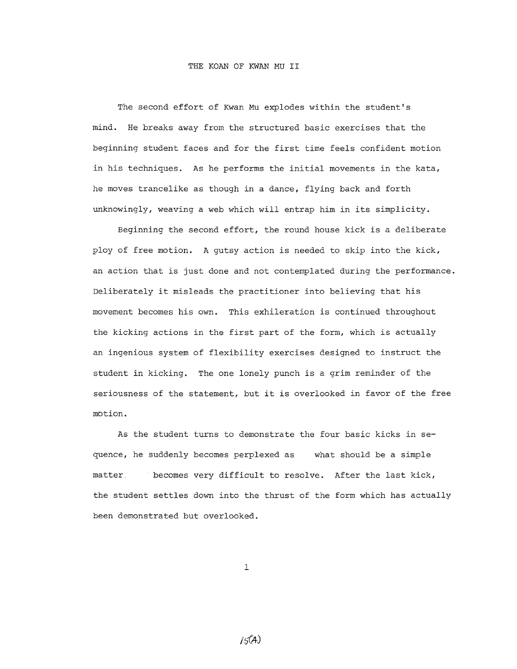#### THE KOAN OF KWAN MU II

The second effort of Kwan Mu explodes within the student's mind. He breaks away from the structured basic exercises that the beginning student faces and for the first time feels confident motion in his techniques. As he performs the initial movements in the kata, he moves trancelike as though in a dance, flying back and forth unknowingly, weaving a web which will entrap him in its simplicity.

Beginning the second effort, the round house kick is a deliberate ploy of free motion. A gutsy action is needed to skip into the kick, an action that is just done and not contemplated during the performance. Deliberately it misleads the practitioner into believing that his movement becomes his own. This exhileration is continued throughout the kicking actions in the first part of the form, which is actually an ingenious system of flexibility exercises designed to instruct the student in kicking. The one lonely punch is a grim reminder of the seriousness of the statement, but it is overlooked in favor of the free motion.

As the student turns to demonstrate the four basic kicks in sequence, he suddenly becomes perplexed as what should be a simple matter, becomes very difficult to resolve. After the last kick, the student settles down into the thrust of the form which has actually been demonstrated but overlooked.

1

 $15(A)$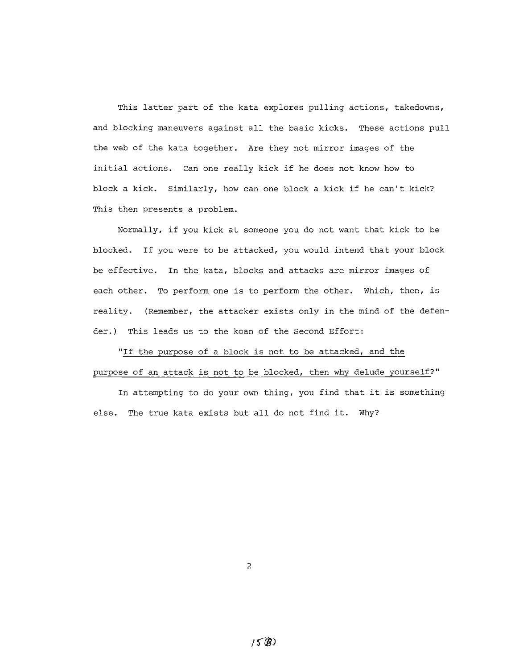This latter part of the kata explores pulling actions, takedowns, and blocking maneuvers against all the basic kicks. These actions pull the web of the kata together. Are they not mirror images of the initial actions. Can one really kick if he does not know how to block <sup>a</sup> kick. Similarly, how can one block <sup>a</sup> kick if he can't kick? This then presents a problem.

Normally, if you kick at someone you do not want that kick to be blocked. If you were to be attacked, you would intend that your block be effective. In the kata, blocks and attacks are mirror images of each other. To perform one is to perform the other. Which, then, is reality. (Remember, the attacker exists only in the mind of the defender.) This leads us to the koan of the Second Effort:

"If the purpose of a block is not to be attacked, and the purpose of an attack is not to be blocked, then why delude yourself?"

In attempting to do your own thing, you find that it is something else. The true kata exists but all do not find it. Why?

2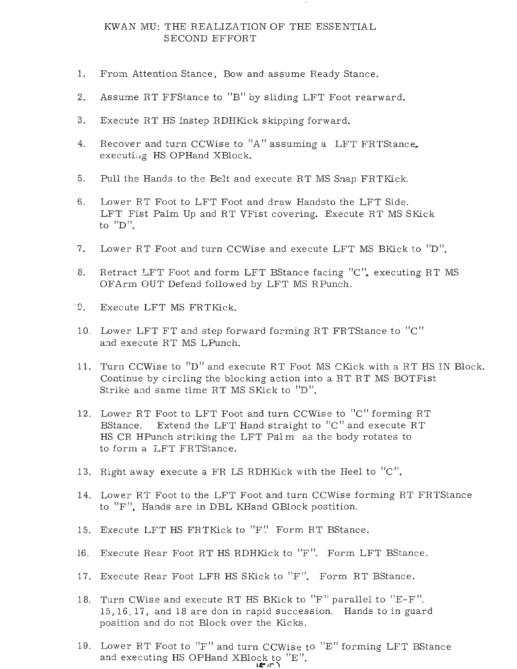## KWAN MU: THE REALIZATION OF THE ESSENTIAL SECOND EFFORT

- 1. From Attention Stance, Bow and assume Ready Stance.
- 2. Assume RT FFStance to "B" by sliding LFT Foot rearward.
- 3. Execute RT HS Instep RDHKick skipping forward.
- 4. Recover and turn CCWise to "A" assuming a LFT FRTStance, executing HS OPHand XBlock.
- 5. Pull the Hands to the Belt and execute RT MS Snap FRTKick.
- 6. Lower RT Foot to LFT Foot and draw Handsto the LFT Side. LFT Fist Palm Up and RT VFist covering. Execute RT MS SKick to  $"D"$ .
- 7. Lower RT Foot and turn CCWise and execute LFT MS BKick to "D".
- 8. Retract LFT Foot and form LFT BStance facing "C", executing RT MS OFArm OUT Defend followed by LFT MS RPunch.
- "9. Execute LFT MS FRTKick.
- 10. Lower LFT FT and step forward forming RT FRTStance to "c" and execute RT MS LPunch.
- 11. Turn CCWise to "D" and execute RT Foot MS CKick with a RT HS IN Block. Continue by circling the blocking action into a RT RT MS BOTFist Strike and same time RT MS SKick to "D".
- 12. Lower RT Foot to LFT Foot and turn CCWise to "c" forming RT BStance. Extend the LFT Hand straight to "C" and execute RT HS CR HPunch striking the LFT Palm as the body rotates to to form a LFT FRTStance.
- 13. Right away execute a FR LS RDHKick with the Heel to  $"C"$ .
- 14. Lower RT Foot to the LFT Foot and turn CCWise forming RT FRTStance to "F". Hands are in DBL KHand GBlock postition.
- 15. Execute LFT HS FRTKick to "F" Form RT BStance.
- 16. Execute Rear Foot RT HS RDHKick to "F". Form LFT BStance.
- 17. Execute Rear Foot LFR HS SKick to "F". Form RT BStance.
- 18. Turn CWise and execute RT HS BKick to "F" parallel to "E-F". 15,16,17, and 18 are don in rapid succession. Hands to in guard position and do not Block over the Kicks.
- 19. Lower RT Foot to "F" and turn CCWise to "E" forming LFT BStance and executing HS OPHand XBlock to "E".  $F(T, 1)$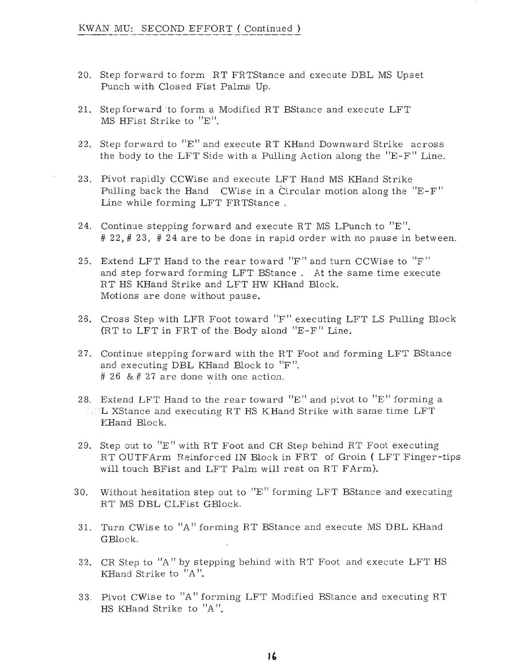- 20. Step forward to form RT FRTStance and execute DBL MS Upset Punch with Closed Fist Palms Up.
- 21. Step forward 'to form a Modified RT BStance and execute LFT MS HFist Strike to "E".
- 22. Step forward to  $"E"$  and execute RT KHand Downward Strike across the body to the LFT Side with a Pulling Action along the "E-F" Line.
- 23. Pivot rapidly CCWise and execute LFT Hand MS KHand Strike Pulling back the Hand 'CWise in a Circular motion along the "E-F" Line while forming LFT FRTStance .
- 24. Continue stepping forward and execute RT MS LPunch to "E".  $\# 22, \# 23, \# 24$  are to be done in rapid order with no pause in between.
- 25. Extend LFT Hand to the rear toward "F" and turn CCWise to "F" and step forward forming LFT BStance. At the same time execute RT HS KHand Strike and LFT HW KHand Block. Motions are done without pause.
- 26. Cross Step with LFR Foot toward "F" executing LFT LS Pulling Block (RT to LFT in FRT of the Bodyalond "E-F" Line.
- 27. Continue stepping forward with the RT Foot and forming LFT BStance and executing DBL KHand Block to "F ". # 26 & # 27 are done with one action.
- 28. Extend LFT Hand to the rear toward "E" and pivot to "E" forming a  $\Box$  L XStance and executing RT HS KHand Strike with same time LFT KHand Block.
- 29. Step out to "E" with RT Foot and CR Step behind RT Foot executing RT OUTFArm Reinforced IN Block in FRT of Groin ( LFT Finger-tips will touch BFist and LFT Palm will rest on RT FArm).
- 30. Without hesitation step out to "E" forming LFT BStance and executing RT MS DBL CLFist GBlock.
- 31. Turn CWise to "A" forming RT BStance and execute MS DBL KHand GBlock.
- 32. CR Step to "A" by stepping behind with RT Foot and execute LFT HS KHand Strike to "A ".
- 33. Pivot CWise to "A" forming LFT Modified BStance and executing RT HS KHand Strike to "A ".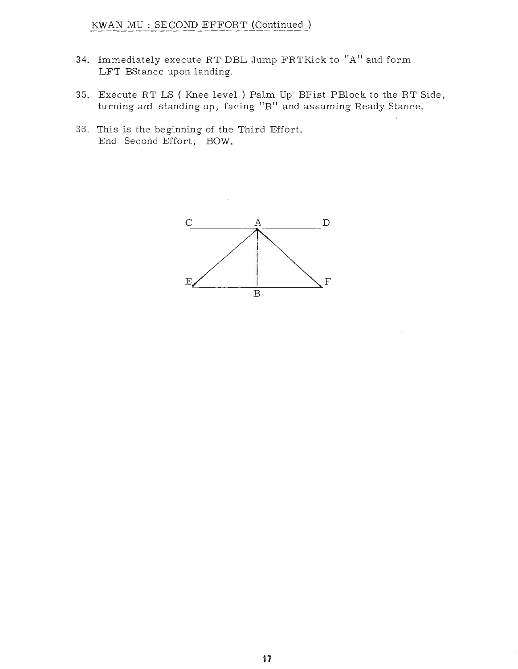# KWAN MU : SECOND EFFORT (Continued)

- 34. Immediately execute RT DBL Jump FRTKick to "A" and form LFT BStance upon landing.
- 35. Execute RT LS ( Knee level) Palm Up BFist PBlock to the RT Side, turning am standing up, facing "B" and assuming Ready Stance.
- 36. This is the beginning of the Third Effort. End Second Effort, BOW.

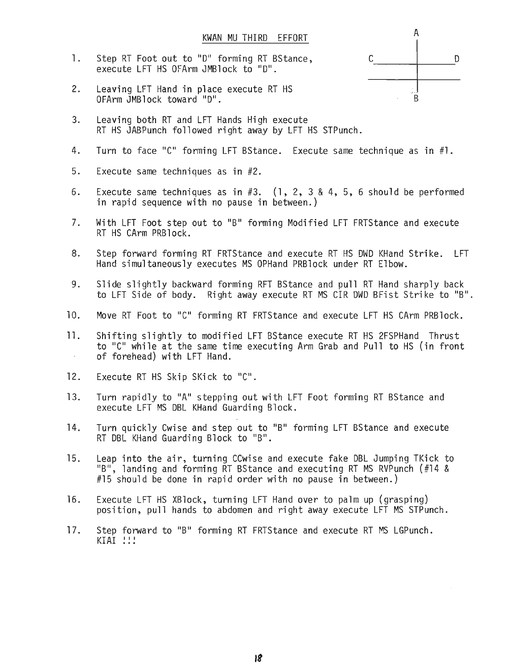- 1. Step RT Foot out to "D" forming RT BStance, execute LFT HS OFArm JMBlock to "0".
- 2. Leaving LFT Hand in place execute RT HS OFArm JMBlock toward "0".
- 3. Leaving both RT and LFT Hands High execute RT HS JABPunch followed right away by LFT HS STPunch.
- 4. Turn to face "C" forming LFT BStance. Execute same technique as in #1.
- 5. Execute same techniques as in #2.
- 6. Execute same techniques as in  $#3.$  (1, 2, 3 & 4, 5, 6 should be performed in rapid sequence with no pause in between.)
- 7. With LFT Foot step out to "B" forming Modified LFT FRTStance and execute RT HS CArm PRBlock.
- 8. Step forward forming RT FRTStance and execute RT HS DWO KHand Strike. LFT Hand simultaneously executes MS OPHand PRBlock under RT Elbow.
- 9. Slide slightly backward forming RFT BStance and pull RT Hand sharply back to LFT Side of body. Right away execute RT MS CIR DWD BFist Strike to "B".
- 10. Move RT Foot to "C" forming RT FRTStance and execute LFT HS CArm PRBlock.
- 11. Shifting slightly to modified LFT BStance execute RT HS 2FSPHand Thrust to "C" while at the same time executing Arm Grab and Pull to HS (in front of forehead) with LFT Hand.  $\sim$
- 12. Execute RT HS Skip SKick to "C".
- 13. Turn rapidly to "A" stepping out with LFT Foot forming RT BStance and execute LFT MS DBL KHand Guarding Block.
- 14. Turn quickly Cwise and step out to "B" forming LFT BStance and execute RT DBL KHand Guarding Block to "B".
- 15. Leap into the air, turning CCwise and execute fake DBL Jumping TKick to "B", landing and forming RT BStance and executing RT MS RVPunch (#14 & #15 should be done in rapid order with no pause in between.)
- 16. Execute LFT HS XBlock, turning LFT Hand over to palm up (grasping) position, pull hands to abdomen and right away execute LFT MS STPunch.
- 17. Step forward to "B" forming RT FRTStance and execute RT MS LGPunch.  $KIAI$   $!!$

A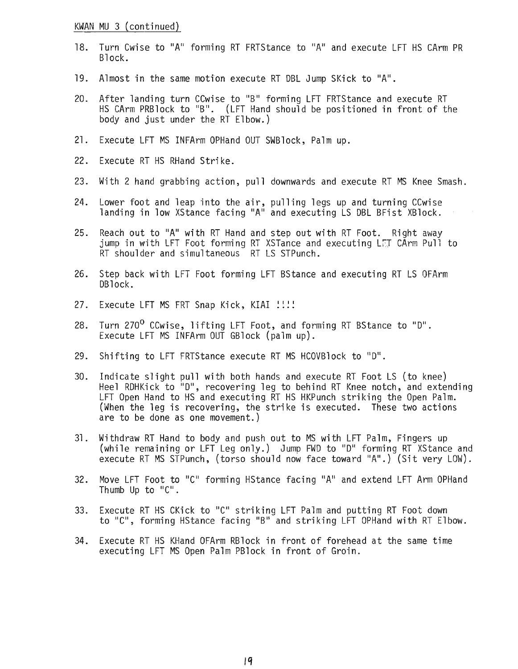### KWAN MU 3 (continued)

- 18. Turn Cwise to "A" forming RT FRTStance to "A" and execute LFT HS CArm PR Block.
- 19. Almost in the same motion execute RT OBL Jump SKick to "A".
- 20. After landing turn CCwise to "B" forming LFT FRTStance and execute RT HS CArm PRB lock to "B". (LFT Hand should be positioned in front of the body and just under the RT Elbow.)
- 21. Execute LFT MS INFArm OPHand OUT SWBlock, Palm up.
- 22. Execute RT HS RHand Strike.
- 23. With 2 hand grabbing action, pull downwards and execute RT MS Knee Smash.
- 24. Lower foot and leap into the air, pulling legs up and turning CCwise landing in low XStance facing "A" and executing LS DBL BFist XBlock.
- 25. Reach out to "A" with RT Hand and step out with RT Foot. Right away jump in with LFT Foot forming RT XSTance and executing LET CArm Pull to RT shoulder and simultaneous RT LS STPunch.
- 26. Step back with LFT Foot forming LFT BStance and executing RT LS OFArm OBlock.
- 27. Execute LFT MS FRT Snap Kick, KIAI !!!!
- 28. Turn 270<sup>0</sup> CCwise, lifting LFT Foot, and forming RT BStance to "D". Execute LFT MS INFArm OUT GBlock (palm up).
- 29. Shifting to LFT FRTStance execute RT MS HCOVBlock to "0".
- 30. Indicate slight pull with both hands and execute RT Foot LS (to knee) Heel ROHKick to "0", recovering leg to behind RT Knee notch, and extending LFT Open Hand to HS and executing RT HS HKPunch striking the Open Palm. (When the leg is recovering, the strike is executed. These two actions are to be done as one movement.)
- 31. Withdraw RT Hand to body and push out to MS with LFT Palm, Fingers up (while remaining or LFT Leg only.) Jump FWD to "D" forming RT XStance and execute RT MS STPunch, (torso should now face toward "A".) (Sit very LOW).
- 32. Move LFT Foot to "C" forming HStance facing "A" and extend LFT Arm OPHand Thumb Up to "C".
- 33. Execute RT HS CKick to "C' striking LFT Palm and putting RT Foot down to "C', forming HStance facing "B" and striking LFT OPHand with RT Elbow.
- 34. Execute RT HS KHand OFArm RBlock in front of forehead at the same time executing LFT MS Open Palm PBlock in front of Groin.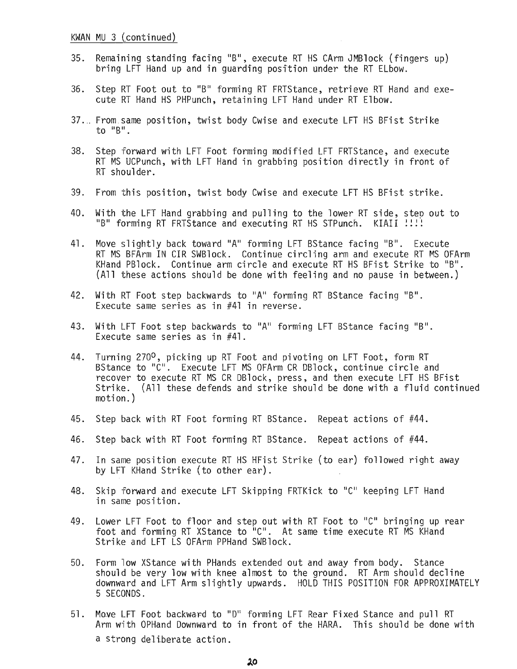- 35. Remaining standing facing "B", execute RT HS CArm JMBlock (fingers up) bring LFT Hand up and in quarding position under the RT ELbow.
- 36. Step RT Foot out to "B" forming RT FRTStance, retrieve RT Hand and execute RT Hand HS PHPunch, retaining LFT Hand under RT Elbow.
- 37.,. From same position, twist body Cwise and execute LFT HS BFist Strike to "B".
- 38. Step forward with LFT Foot forming modified LFT FRTStance, and execute RT MS UCPunch, with LFT Hand in grabbing position directly in front of RT shoulder.
- 39. From this position, twist body Cwise and execute LFT HS BFist strike.
- 40. With the LFT Hand grabbing and pulling to the lower RT side, step out to "B" forming RT FRTStance and executing RT HS STPunch. KIAII ::::
- 41. Move slightly back toward "A" forming LFT BStance facing "B". Execute RT MS BFArm IN CIR SWBlock. Continue circling arm and execute RT MS OFArm KHand PBlock. Continue arm circle and execute RT HS BFist Strike to "B". (All these actions should be done with feeling and no pause in between.)
- 42. With RT Foot step backwards to "A" forming RT BStance facing "B". Execute same series as in #41 in reverse.
- 43. With LFT Foot step backwards to "A" forming LFT BStance facing "B". Execute same series as in #41.
- 44. Turning 270<sup>0</sup>, picking up RT Foot and pivoting on LFT Foot, form RT BStance to "C". Execute LFT MS OFArm CR DBlock, continue circle and recover to execute RT MS CR DBlock, press, and then execute LFT HS BFist Strike. (All these defends and strike should be done with a fluid continued motion. )
- 45. Step back with RT Foot forming RT BStance. Repeat actions of #44.
- 46. Step back with RT Foot forming RT BStance. Repeat actions of #44.
- 47. In same position execute RT HS HFist Strike (to ear) followed right away by LFT KHand Strike (to other ear).
- 48. Skip forward and execute LFT Skipping FRTKick to "C" keeping LFT Hand in same position.
- 49. Lower LFT Foot to floor and step out with RT Foot to "C" bringing up rear foot and forming RT XStance to "C". At same time execute RT MS KHand Strike and LFT LS OFArm PPHand SWBlock.
- 50. Form 'low XStance with PHands extended out and away from body. Stance should be very low with knee almost to the ground. RT Arm should decline downward and LFT Arm slightly upwards. HOLD THIS POSITION FOR APPROXIMATELY 5 SECONDS.
- 51. Move LFT Foot backward to "D" forming LFT Rear Fixed Stance and pull RT Arm with OPHand Downward to in front of the HARA. This should be done with a strong deliberate action.